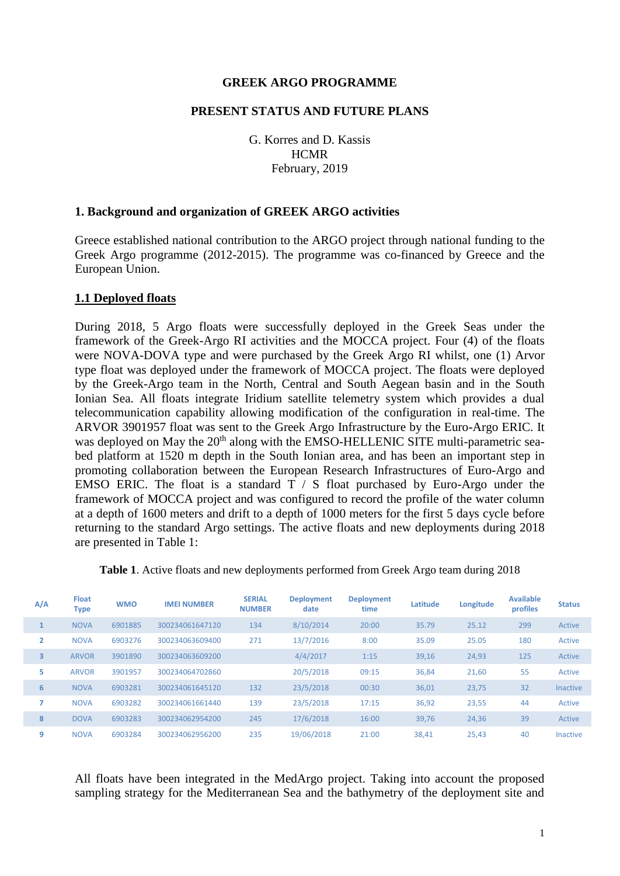### **GREEK ARGO PROGRAMME**

#### **PRESENT STATUS AND FUTURE PLANS**

G. Korres and D. Kassis **HCMR** February, 2019

#### **1. Background and organization of GREEK ARGO activities**

Greece established national contribution to the ARGO project through national funding to the Greek Argo programme (2012-2015). The programme was co-financed by Greece and the European Union.

#### **1.1 Deployed floats**

During 2018, 5 Argo floats were successfully deployed in the Greek Seas under the framework of the Greek-Argo RI activities and the MOCCA project. Four (4) of the floats were NOVA-DOVA type and were purchased by the Greek Argo RI whilst, one (1) Arvor type float was deployed under the framework of MOCCA project. The floats were deployed by the Greek-Argo team in the North, Central and South Aegean basin and in the South Ionian Sea. All floats integrate Iridium satellite telemetry system which provides a dual telecommunication capability allowing modification of the configuration in real-time. The ARVOR 3901957 float was sent to the Greek Argo Infrastructure by the Euro-Argo ERIC. It was deployed on May the 20<sup>th</sup> along with the EMSO-HELLENIC SITE multi-parametric seabed platform at 1520 m depth in the South Ionian area, and has been an important step in promoting collaboration between the European Research Infrastructures of Euro-Argo and EMSO ERIC. The float is a standard  $T / S$  float purchased by Euro-Argo under the framework of MOCCA project and was configured to record the profile of the water column at a depth of 1600 meters and drift to a depth of 1000 meters for the first 5 days cycle before returning to the standard Argo settings. The active floats and new deployments during 2018 are presented in Table 1:

| A/A | <b>Float</b><br><b>Type</b> | <b>WMO</b> | <b>IMEI NUMBER</b> | <b>SERIAL</b><br><b>NUMBER</b> | <b>Deployment</b><br>date | <b>Deployment</b><br>time | Latitude | Longitude | <b>Available</b><br>profiles | <b>Status</b>   |
|-----|-----------------------------|------------|--------------------|--------------------------------|---------------------------|---------------------------|----------|-----------|------------------------------|-----------------|
|     | <b>NOVA</b>                 | 6901885    | 300234061647120    | 134                            | 8/10/2014                 | 20:00                     | 35.79    | 25.12     | 299                          | Active          |
| 2   | <b>NOVA</b>                 | 6903276    | 300234063609400    | 271                            | 13/7/2016                 | 8:00                      | 35.09    | 25.05     | 180                          | Active          |
| 3   | <b>ARVOR</b>                | 3901890    | 300234063609200    |                                | 4/4/2017                  | 1:15                      | 39,16    | 24,93     | 125                          | Active          |
| 5   | <b>ARVOR</b>                | 3901957    | 300234064702860    |                                | 20/5/2018                 | 09:15                     | 36,84    | 21,60     | 55                           | Active          |
| 6   | <b>NOVA</b>                 | 6903281    | 300234061645120    | 132                            | 23/5/2018                 | 00:30                     | 36,01    | 23,75     | 32                           | <b>Inactive</b> |
|     | <b>NOVA</b>                 | 6903282    | 300234061661440    | 139                            | 23/5/2018                 | 17:15                     | 36,92    | 23,55     | 44                           | Active          |
| 8   | <b>DOVA</b>                 | 6903283    | 300234062954200    | 245                            | 17/6/2018                 | 16:00                     | 39.76    | 24,36     | 39                           | Active          |
| 9   | <b>NOVA</b>                 | 6903284    | 300234062956200    | 235                            | 19/06/2018                | 21:00                     | 38.41    | 25,43     | 40                           | <b>Inactive</b> |

**Table 1**. Active floats and new deployments performed from Greek Argo team during 2018

All floats have been integrated in the MedArgo project. Taking into account the proposed sampling strategy for the Mediterranean Sea and the bathymetry of the deployment site and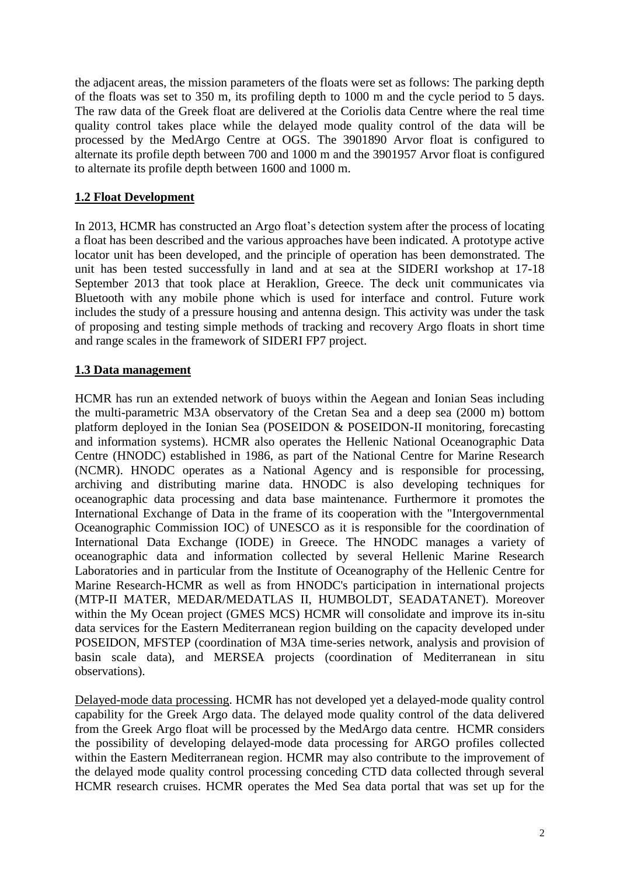the adjacent areas, the mission parameters of the floats were set as follows: The parking depth of the floats was set to 350 m, its profiling depth to 1000 m and the cycle period to 5 days. The raw data of the Greek float are delivered at the Coriolis data Centre where the real time quality control takes place while the delayed mode quality control of the data will be processed by the MedArgo Centre at OGS. The 3901890 Arvor float is configured to alternate its profile depth between 700 and 1000 m and the 3901957 Arvor float is configured to alternate its profile depth between 1600 and 1000 m.

# **1.2 Float Development**

In 2013, HCMR has constructed an Argo float's detection system after the process of locating a float has been described and the various approaches have been indicated. A prototype active locator unit has been developed, and the principle of operation has been demonstrated. The unit has been tested successfully in land and at sea at the SIDERI workshop at 17-18 September 2013 that took place at Heraklion, Greece. The deck unit communicates via Bluetooth with any mobile phone which is used for interface and control. Future work includes the study of a pressure housing and antenna design. This activity was under the task of proposing and testing simple methods of tracking and recovery Argo floats in short time and range scales in the framework of SIDERI FP7 project.

# **1.3 Data management**

HCMR has run an extended network of buoys within the Aegean and Ionian Seas including the multi-parametric M3A observatory of the Cretan Sea and a deep sea (2000 m) bottom platform deployed in the Ionian Sea (POSEIDON & POSEIDON-II monitoring, forecasting and information systems). HCMR also operates the Hellenic National Oceanographic Data Centre (HNODC) established in 1986, as part of the National Centre for Marine Research (NCMR). HNODC operates as a National Agency and is responsible for processing, archiving and distributing marine data. HNODC is also developing techniques for oceanographic data processing and data base maintenance. Furthermore it promotes the International Exchange of Data in the frame of its cooperation with the "Intergovernmental Oceanographic Commission IOC) of UNESCO as it is responsible for the coordination of International Data Exchange (IODE) in Greece. The HNODC manages a variety of oceanographic data and information collected by several Hellenic Marine Research Laboratories and in particular from the Institute of Oceanography of the Hellenic Centre for Marine Research-HCMR as well as from HNODC's participation in international projects (MTP-II MATER, MEDAR/MEDATLAS II, HUMBOLDT, SEADATANET). Moreover within the My Ocean project (GMES MCS) HCMR will consolidate and improve its in-situ data services for the Eastern Mediterranean region building on the capacity developed under POSEIDON, MFSTEP (coordination of M3A time-series network, analysis and provision of basin scale data), and MERSEA projects (coordination of Mediterranean in situ observations).

Delayed-mode data processing. HCMR has not developed yet a delayed-mode quality control capability for the Greek Argo data. The delayed mode quality control of the data delivered from the Greek Argo float will be processed by the MedArgo data centre. HCMR considers the possibility of developing delayed-mode data processing for ARGO profiles collected within the Eastern Mediterranean region. HCMR may also contribute to the improvement of the delayed mode quality control processing conceding CTD data collected through several HCMR research cruises. HCMR operates the Med Sea data portal that was set up for the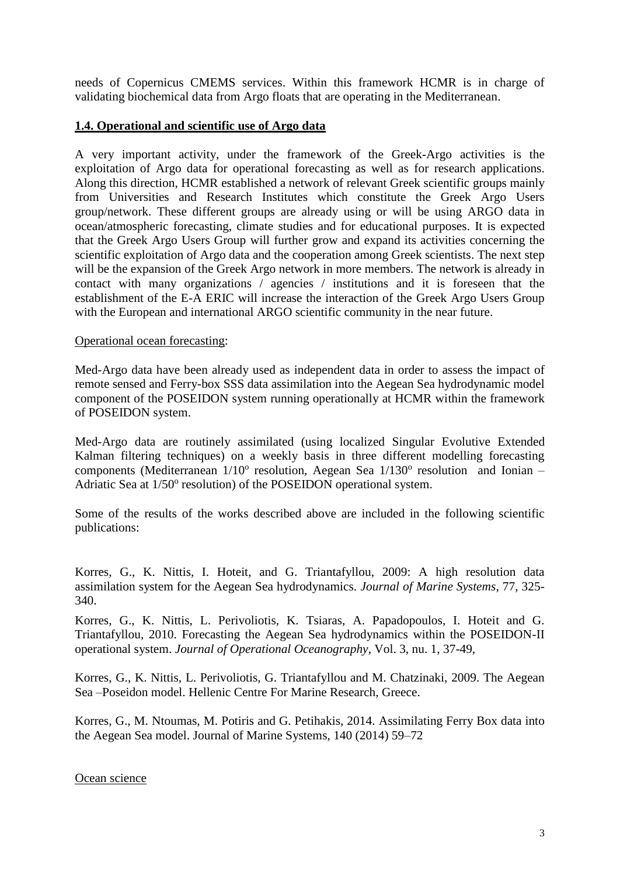needs of Copernicus CMEMS services. Within this framework HCMR is in charge of validating biochemical data from Argo floats that are operating in the Mediterranean.

### **1.4. Operational and scientific use of Argo data**

A very important activity, under the framework of the Greek-Argo activities is the exploitation of Argo data for operational forecasting as well as for research applications. Along this direction, HCMR established a network of relevant Greek scientific groups mainly from Universities and Research Institutes which constitute the Greek Argo Users group/network. These different groups are already using or will be using ARGO data in ocean/atmospheric forecasting, climate studies and for educational purposes. It is expected that the Greek Argo Users Group will further grow and expand its activities concerning the scientific exploitation of Argo data and the cooperation among Greek scientists. The next step will be the expansion of the Greek Argo network in more members. The network is already in contact with many organizations / agencies / institutions and it is foreseen that the establishment of the E-A ERIC will increase the interaction of the Greek Argo Users Group with the European and international ARGO scientific community in the near future.

### Operational ocean forecasting:

Med-Argo data have been already used as independent data in order to assess the impact of remote sensed and Ferry-box SSS data assimilation into the Aegean Sea hydrodynamic model component of the POSEIDON system running operationally at HCMR within the framework of POSEIDON system.

Med-Argo data are routinely assimilated (using localized Singular Evolutive Extended Kalman filtering techniques) on a weekly basis in three different modelling forecasting components (Mediterranean  $1/10^{\circ}$  resolution, Aegean Sea  $1/130^{\circ}$  resolution and Ionian -Adriatic Sea at 1/50° resolution) of the POSEIDON operational system.

Some of the results of the works described above are included in the following scientific publications:

Korres, G., K. Nittis, I. Hoteit, and G. Triantafyllou, 2009: A high resolution data assimilation system for the Aegean Sea hydrodynamics. *Journal of Marine Systems*, 77, 325- 340.

Korres, G., K. Nittis, L. Perivoliotis, K. Tsiaras, A. Papadopoulos, I. Hoteit and G. Triantafyllou, 2010. Forecasting the Aegean Sea hydrodynamics within the POSEIDON-II operational system. *Journal of Operational Oceanography*, Vol. 3, nu. 1, 37-49,

Korres, G., K. Nittis, L. Perivoliotis, G. Triantafyllou and M. Chatzinaki, 2009. The Aegean Sea –Poseidon model. Hellenic Centre For Marine Research, Greece.

Korres, G., M. Ntoumas, M. Potiris and G. Petihakis, 2014. Assimilating Ferry Box data into the Aegean Sea model. Journal of Marine Systems, 140 (2014) 59–72

### Ocean science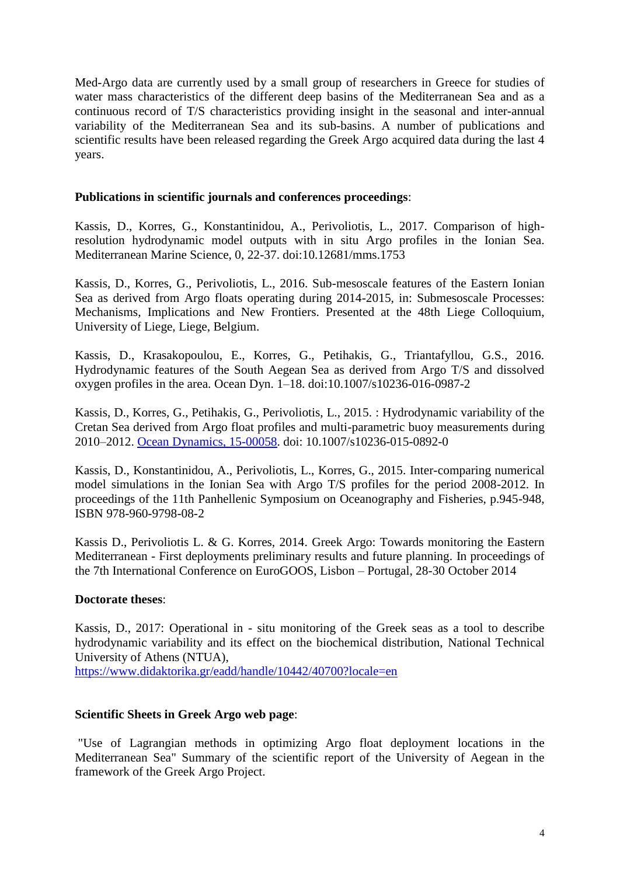Med-Argo data are currently used by a small group of researchers in Greece for studies of water mass characteristics of the different deep basins of the Mediterranean Sea and as a continuous record of T/S characteristics providing insight in the seasonal and inter-annual variability of the Mediterranean Sea and its sub-basins. A number of publications and scientific results have been released regarding the Greek Argo acquired data during the last 4 years.

### **Publications in scientific journals and conferences proceedings**:

Kassis, D., Korres, G., Konstantinidou, A., Perivoliotis, L., 2017. Comparison of highresolution hydrodynamic model outputs with in situ Argo profiles in the Ionian Sea. Mediterranean Marine Science, 0, 22-37. doi:10.12681/mms.1753

Kassis, D., Korres, G., Perivoliotis, L., 2016. Sub-mesoscale features of the Eastern Ionian Sea as derived from Argo floats operating during 2014-2015, in: Submesoscale Processes: Mechanisms, Implications and New Frontiers. Presented at the 48th Liege Colloquium, University of Liege, Liege, Belgium.

Kassis, D., Krasakopoulou, E., Korres, G., Petihakis, G., Triantafyllou, G.S., 2016. Hydrodynamic features of the South Aegean Sea as derived from Argo T/S and dissolved oxygen profiles in the area. Ocean Dyn. 1–18. doi:10.1007/s10236-016-0987-2

Kassis, D., Korres, G., Petihakis, G., Perivoliotis, L., 2015. : Hydrodynamic variability of the Cretan Sea derived from Argo float profiles and multi-parametric buoy measurements during 2010–2012. [Ocean Dynamics, 15-00058.](http://link.springer.com/article/10.1007%2Fs10236-015-0892-0) doi: 10.1007/s10236-015-0892-0

Kassis, D., Konstantinidou, A., Perivoliotis, L., Korres, G., 2015. Inter-comparing numerical model simulations in the Ionian Sea with Argo T/S profiles for the period 2008-2012. In proceedings of the 11th Panhellenic Symposium on Oceanography and Fisheries, p.945-948, ISBN 978-960-9798-08-2

Kassis D., Perivoliotis L. & G. Korres, 2014. Greek Argo: Towards monitoring the Eastern Mediterranean - First deployments preliminary results and future planning. In proceedings of the 7th International Conference on EuroGOOS, Lisbon – Portugal, 28-30 October 2014

# **Doctorate theses**:

Kassis, D., 2017: Operational in - situ monitoring of the Greek seas as a tool to describe hydrodynamic variability and its effect on the biochemical distribution, National Technical University of Athens (NTUA),

<https://www.didaktorika.gr/eadd/handle/10442/40700?locale=en>

# **Scientific Sheets in Greek Argo web page**:

"Use of Lagrangian methods in optimizing Argo float deployment locations in the Mediterranean Sea" Summary of the scientific report of the University of Aegean in the framework of the Greek Argo Project.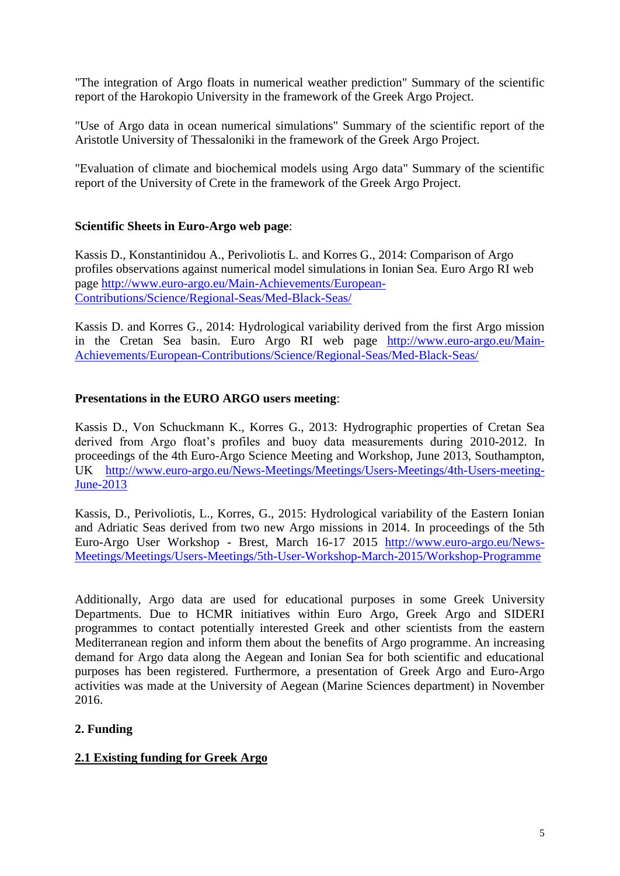"The integration of Argo floats in numerical weather prediction" Summary of the scientific report of the Harokopio University in the framework of the Greek Argo Project.

"Use of Argo data in ocean numerical simulations" Summary of the scientific report of the Aristotle University of Thessaloniki in the framework of the Greek Argo Project.

"Evaluation of climate and biochemical models using Argo data" Summary of the scientific report of the University of Crete in the framework of the Greek Argo Project.

# **Scientific Sheets in Euro-Argo web page**:

Kassis D., Konstantinidou A., Perivoliotis L. and Korres G., 2014: Comparison of Argo profiles observations against numerical model simulations in Ionian Sea. Euro Argo RI web page [http://www.euro-argo.eu/Main-Achievements/European-](http://www.euro-argo.eu/Main-Achievements/European-Contributions/Science/Regional-Seas/Med-Black-Seas/)[Contributions/Science/Regional-Seas/Med-Black-Seas/](http://www.euro-argo.eu/Main-Achievements/European-Contributions/Science/Regional-Seas/Med-Black-Seas/)

Kassis D. and Korres G., 2014: Hydrological variability derived from the first Argo mission in the Cretan Sea basin. Euro Argo RI web page [http://www.euro-argo.eu/Main-](http://www.euro-argo.eu/Main-Achievements/European-Contributions/Science/Regional-Seas/Med-Black-Seas/)[Achievements/European-Contributions/Science/Regional-Seas/Med-Black-Seas/](http://www.euro-argo.eu/Main-Achievements/European-Contributions/Science/Regional-Seas/Med-Black-Seas/)

# **Presentations in the EURO ARGO users meeting**:

Kassis D., Von Schuckmann K., Korres G., 2013: Hydrographic properties of Cretan Sea derived from Argo float's profiles and buoy data measurements during 2010-2012. In proceedings of the 4th Euro-Argo Science Meeting and Workshop, June 2013, Southampton, UK [http://www.euro-argo.eu/News-Meetings/Meetings/Users-Meetings/4th-Users-meeting-](http://www.euro-argo.eu/News-Meetings/Meetings/Users-Meetings/4th-Users-meeting-June-2013)[June-2013](http://www.euro-argo.eu/News-Meetings/Meetings/Users-Meetings/4th-Users-meeting-June-2013)

Kassis, D., Perivoliotis, L., Korres, G., 2015: Hydrological variability of the Eastern Ionian and Adriatic Seas derived from two new Argo missions in 2014. In proceedings of the 5th Euro-Argo User Workshop - Brest, March 16-17 2015 [http://www.euro-argo.eu/News-](http://www.euro-argo.eu/News-Meetings/Meetings/Users-Meetings/5th-User-Workshop-March-2015/Workshop-Programme)[Meetings/Meetings/Users-Meetings/5th-User-Workshop-March-2015/Workshop-Programme](http://www.euro-argo.eu/News-Meetings/Meetings/Users-Meetings/5th-User-Workshop-March-2015/Workshop-Programme)

Additionally, Argo data are used for educational purposes in some Greek University Departments. Due to HCMR initiatives within Euro Argo, Greek Argo and SIDERI programmes to contact potentially interested Greek and other scientists from the eastern Mediterranean region and inform them about the benefits of Argo programme. An increasing demand for Argo data along the Aegean and Ionian Sea for both scientific and educational purposes has been registered. Furthermore, a presentation of Greek Argo and Euro-Argo activities was made at the University of Aegean (Marine Sciences department) in November 2016.

# **2. Funding**

# **2.1 Existing funding for Greek Argo**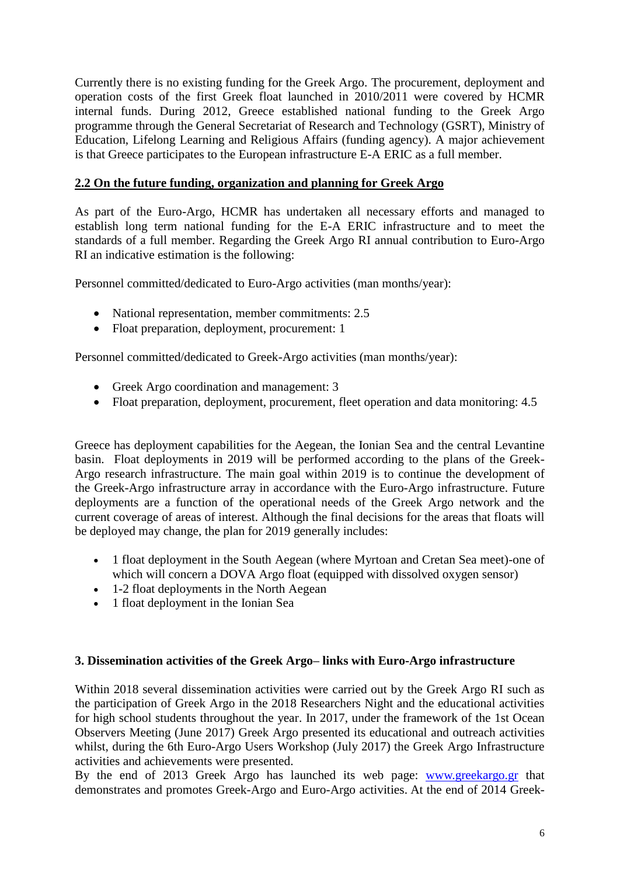Currently there is no existing funding for the Greek Argo. The procurement, deployment and operation costs of the first Greek float launched in 2010/2011 were covered by HCMR internal funds. During 2012, Greece established national funding to the Greek Argo programme through the General Secretariat of Research and Technology (GSRT), Ministry of Education, Lifelong Learning and Religious Affairs (funding agency). A major achievement is that Greece participates to the European infrastructure E-A ERIC as a full member.

# **2.2 On the future funding, organization and planning for Greek Argo**

As part of the Euro-Argo, HCMR has undertaken all necessary efforts and managed to establish long term national funding for the E-A ERIC infrastructure and to meet the standards of a full member. Regarding the Greek Argo RI annual contribution to Euro-Argo RI an indicative estimation is the following:

Personnel committed/dedicated to Euro-Argo activities (man months/year):

- National representation, member commitments: 2.5
- Float preparation, deployment, procurement: 1

Personnel committed/dedicated to Greek-Argo activities (man months/year):

- Greek Argo coordination and management: 3
- Float preparation, deployment, procurement, fleet operation and data monitoring: 4.5

Greece has deployment capabilities for the Aegean, the Ionian Sea and the central Levantine basin. Float deployments in 2019 will be performed according to the plans of the Greek-Argo research infrastructure. The main goal within 2019 is to continue the development of the Greek-Argo infrastructure array in accordance with the Euro-Argo infrastructure. Future deployments are a function of the operational needs of the Greek Argo network and the current coverage of areas of interest. Although the final decisions for the areas that floats will be deployed may change, the plan for 2019 generally includes:

- 1 float deployment in the South Aegean (where Myrtoan and Cretan Sea meet)-one of which will concern a DOVA Argo float (equipped with dissolved oxygen sensor)
- 1-2 float deployments in the North Aegean
- 1 float deployment in the Ionian Sea

# **3. Dissemination activities of the Greek Argo– links with Euro-Argo infrastructure**

Within 2018 several dissemination activities were carried out by the Greek Argo RI such as the participation of Greek Argo in the 2018 Researchers Night and the educational activities for high school students throughout the year. In 2017, under the framework of the 1st Ocean Observers Meeting (June 2017) Greek Argo presented its educational and outreach activities whilst, during the 6th Euro-Argo Users Workshop (July 2017) the Greek Argo Infrastructure activities and achievements were presented.

By the end of 2013 Greek Argo has launched its web page: [www.greekargo.gr](http://www.greekargo.gr/) that demonstrates and promotes Greek-Argo and Euro-Argo activities. At the end of 2014 Greek